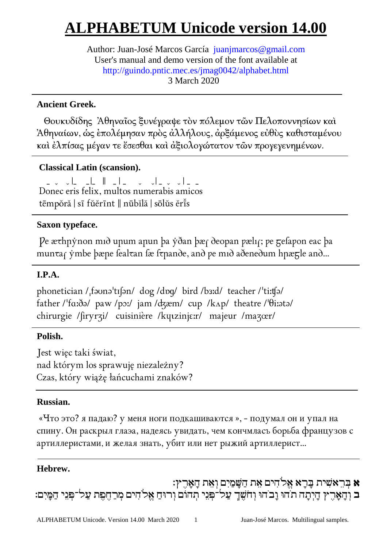# **ALPHABETUM Unicode version 14.00**

Author: Juan-José Marcos García juanjmarcos@gmail.com User's manual and demo version of the font available at http://guindo.pntic.mec.es/jmag0042/alphabet.html 3 March 2020

# **Ancient Greek.**

 Θουκυδίδης Ἀθηναῖος ξυνέγραψε τὸν πόλεµον τῶν Πελοποννησίων καὶ Ἀθηναίων, ὡς ἐπολέµησαν πρὸς ἀλλήλους, ἀρξάµενος εὐθὺς καθισταµένου καὶ ἐλπίσας µέγαν τε ἔσεσθαι καὶ ἀξιολογώτατον τῶν προγεγενηµένων.

# **Classical Latin (scansion).**

<u>in de la llega de de la llega de la llega de la llega de la llega de la llega de la llega de la llega de la l</u> Donec eris felix, multos numerabis amicos tēmpŏră | sī fŭĕrīnt || nūbĭlă | sōlŭs ĕrīs

# **Saxon typeface.**

Pe æ $\tau$ hnynon mið unum anun þa yðan þæ $\tau$  ðeopan pæli $\tau$ ; pe  $\tau$ efapon eac þa munτaς ymbe þæne fealτan fæ fτpande, and pe mid aðenedum hnæπle and...

# **I.P.A.**

j

phonetician /ˌfəʊnəˈtɪʃən/ dog /dɒq/ bird /bɜːd/ teacher /ˈtiːtʃə/ father /ˈfɑːðǝ/ paw /pɔː/ jam /ʤæm/ cup /kʌp/ theatre /ˈθiːǝtǝ/ chirurgie /ʃiryrʒi/ cuisinière /kɥɩzinjɛːr/ majeur /maʒœr/ l

# **Polish.**

Jest więc taki świat, nad którym los sprawuję niezależny? Czas, który wiążę łańcuchami znaków?

# **Russian.**

«Что это? я падаю? у меня ноги подкашиваются », - подумал он и упал на cпинy. Oн pacкpыл глaэa, нaдeяcь yʙидaть, чeм кончмлacъ боpьбa фpaнцyзоʙ c apтиллepиcтaми, и жeлaя знaть, yбит или нeт pыжий apтиллepиcт...

# **Hebrew.**

א בְּ רֵ אשִׁ ית בָּרָ א אֱלֹהִ ים אֵ ת הַ שָּׁ מַ יִם וְאֵת הָאָרֶ ץ׃ ב וְהָאָרֶץ הַיִּתָה תֹהוּ וָבֹהוּ וְחֹשֶׁךָ עַל־פִּנֵי תִהוֹם וְרוּחַ אֱלֹהִים מִרַחֶפֶת עַל־פִּנֵי הַמָּיִם: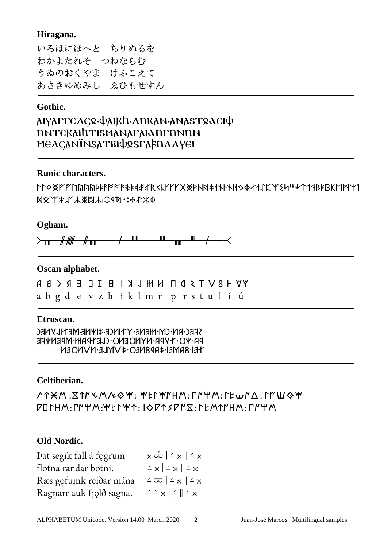#### **Hiragana.**

いろはにほへと ちりぬるを わかよたれそ つねならむ うゐのおくやま けふこえて あさきゆめみし ゑひもせすん

### **Gothic.**

| <b>λΙΥλΓΓΕΛςՋ·ψλΙΚh·ΛΠΚλΝ·λΝλSΤՋΔΕΙψ</b> |  |  |
|------------------------------------------|--|--|
| <b>NATEKAINTISMANAFAIANFNNNN</b>         |  |  |
| ϻͼλςλΝΪΝSλΤΒΙΦՋSΓλϝΠλλγει                |  |  |

#### **Runic characters.**

ᛚᛛᛜᛝᚠᚡᚢᚣᚤᚥᚦᚧᚨᚩᚪᚫᚬᚭᚮᚯᚰᚱᚲᚳᚴᚵᚶᚷᚸᚹᚺᚻᚼᚽᚾᚿᛀᛁᛂᛃᛄᛅᛆᛇᛈᛉᛊᛋᛌᛍᛎᛏᛐᛑᛒᛓᛔᛕᛖᛗᛘᛙ ᛞᛟᛠᛡᛢᛣᛤᛥᛦᛧᛨᛩᛪ᛫᛬᛭ᛮᛯᛰ

#### **Ogham.**

 $\overline{a}$ 

᚛ᚄᚐᚌᚏᚐᚌᚅᚔ ᚋᚐᚊᚔ ᚉᚒᚅᚐᚈᚐᚋᚔ᚜

#### **Oscan alphabet.**

YV + 8 V T Z D N H H L K I B I L E R < B R a b g d e v z h i k l m n p r s t u f í ú

#### **Etruscan.**

SFEC-RN-CM-HHENE-YTINCE-#IYNE-METILYNEC DR. VO. TVDR. NYNOENO. (LETDRH. MDENVEE TEI-8AMEI-\$AP8NEO-\$VMLE-NVNOEN

### **Celtiberian.**

      :        :          :       :         :         $\nabla$   $\nabla$   $\nabla$   $\nabla$   $\nabla$   $\nabla$   $\nabla$   $\nabla$   $\nabla$   $\nabla$   $\nabla$   $\nabla$   $\nabla$   $\nabla$   $\nabla$   $\nabla$   $\nabla$   $\nabla$   $\nabla$   $\nabla$   $\nabla$   $\nabla$   $\nabla$   $\nabla$   $\nabla$   $\nabla$   $\nabla$   $\nabla$   $\nabla$   $\nabla$   $\nabla$   $\nabla$   $\nabla$   $\nabla$   $\nabla$   $\nabla$   $\nabla$ 

#### **Old Nordic.**

| Þat segik fall á fogrum  | $\times$ $\frac{1}{2}$ $\times$ $\frac{1}{2}$ $\times$                   |
|--------------------------|--------------------------------------------------------------------------|
| flotna randar botni.     | $\angle$ x $\angle$ x $\angle$ x                                         |
| Ræs gofumk reiðar mána   | $\angle \overline{\infty}$ $\angle \times \angle$                        |
| Ragnarr auk fjolð sagna. | $\angle$ $\geq$ $\times$ $\angle$ $\angle$ $\parallel$ $\angle$ $\times$ |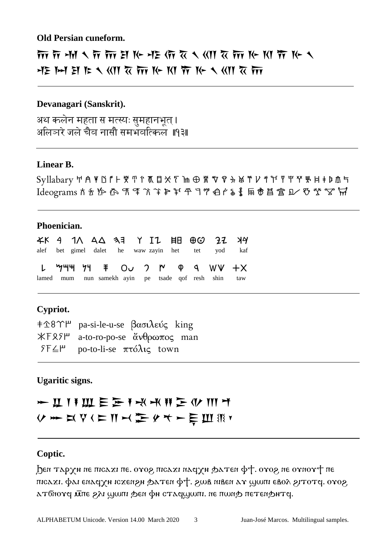#### **Old Persian cuneform.**

# $\gamma$  of  $\eta$  of  $\eta$  of  $\eta$  in  $\beta$  in  $\alpha$  of  $\alpha$  of  $\alpha$  of  $\alpha$  of  $\alpha$  of  $\alpha$  of  $\alpha$  or  $\alpha$  $-12$  M E M E A  $\langle 0 \rangle$   $\chi$   $\overline{m}$  K  $\gamma$  K  $\overline{n}$  K  $\chi$   $\langle 0 \rangle$   $\overline{\chi}$   $\overline{m}$

#### **Devanagari (Sanskrit).**

अथ कलेन महता स मत्स्यः सुमहानभूत् । अलिञरे जले चैव नासौ समभवत्किल ॥१३॥

#### **Linear B.**

Syllabary ™ ´ ¨ Æ Ø ° ± ² ³ ¥ µ ¶ · ¸ ¹ º ª º ½ æ ø ¿ £ ¬ Ã ƒ Å Æ « » …  $\operatorname{Id}$ eograms  $\hbar$   $\hbar$   $\hbar$   $\hbar$   $\mathfrak{R}$   $\mathfrak{T}$   $\mathfrak{T}$   $\mathfrak{P}$   $\mathfrak{P}$   $\mathfrak{P}$   $\mathfrak{P}$   $\mathfrak{P}$   $\mathfrak{P}$   $\mathfrak{P}$   $\mathfrak{P}$   $\mathfrak{P}$   $\mathfrak{P}$   $\mathfrak{P}$   $\mathfrak{P}$   $\mathfrak{P}$   $\mathfrak{P}$   $\mathfrak{P}$   $\math$ 

#### **Phoenician.**

|  |  |  |  |  | <b>XK 4 1 A A A 3 7 I L H B B 2 2 X 4 A</b>          |  |
|--|--|--|--|--|------------------------------------------------------|--|
|  |  |  |  |  | alef bet gimel dalet he waw zayin het tet yod kaf    |  |
|  |  |  |  |  | L '744 74 F OU 2 M Q 9 W +X                          |  |
|  |  |  |  |  | lamed mum nun samekh ayin pe tsade qof resh shin taw |  |

#### **Cypriot.**

 pa-si-le-u-se βασιλεύς king  a-to-ro-po-se ἄνθρωπος man po-to-li-se πτόλις town

#### **Ugaritic signs.**

# **> II I I III E E I K K H E (V III M** V m X Y ( ) I M m / h y + r = h W X Y

#### **Coptic.**

 $\beta$ εη тархи ие пісахі пе. очор, пісахі насун фатен ф†. очор, не очноч† пе πισαχι. φαι επας χθι τοχενι φατεπ φτ. εωθ πιθεταν ωωσι εθολ ειτοτς. ονος ѧ⊤бнота илю дана и тадуми и стария. не по татем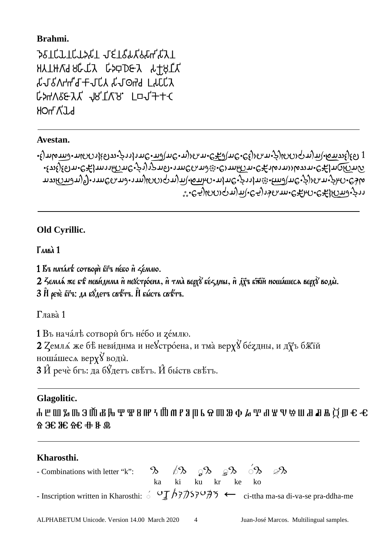# **Brahmi.**

**JSICLICLISTI JEIGLAGETAII** አጔ੪Ⴕሓ スႦႧႼჃ スႮႯႽႦႿႵႾႿႹ <u>ኢግግዝ I PHOLን YJD-H P</u>HVAJLን CP4V2&YY 18. La1++C **HOLLY**J'Y

# **Avestan.**

•ε) πικαιλευνεικής της πολύτης στην της Εξερίας στην προστήμα στην πραγκής της Τ ᠂ᢄ᠉᠖ᡟᢄᡉᡴ᠂ᢄᡄᡗ᠇ᡴᡞ᠈ᡅᡗᠴᡊᡛ᠂ᢟᢀᡣ᠓ᡊ᠓ᡊ᠅ᢄ᠈ᡢᡢᡢ᠅ᢄᠰᢃᡊᡏᢉᠽ᠀ᡊᡊ უურე•ოატიელი აპურიარებურელია ქომურიფართელმატე) რომატიატა ᢆ᠊᠄᠂ᢆҼ᠊ᢒᢂ᠗᠓ᡴᡳᢄ᠌᠌᠊ᢒ᠈ᡱᠻᠴᡣ᠃᠌ᢄᡩᡅᡴ᠄᠌ᠿᡏ᠓᠇᠗᠂ᡒ᠈

# **Old Cyrillic.**

# **Глака** 1

1 BE MAYANT COTBOON ETE MEEO N SEMAIO.

2 Земла же въе невидима и невстроена, и тма верху вездны, и дуч вжи ношашест верху воды. 3 И рече Егч: да відетч свътч. Й высть свътч.

Γлaʙà 1

1 Въ началъ сотвори бъ небо и демлю.

2 Zемла́ же бѣ неви́днма и̂ нe Устро́ена, и̂ тма̀ верх у̀ бе́ддны, ѝ дӯъ бж̄їй ношáшесл веру $\gamma$ воды̀.  $3$   $\hat{H}$  речè бъз: да б $\hat{Z}$ детъ свѣтъ.  $\hat{H}$  бы́ств свѣтъ.

# **Glagolitic.**

Ⰰ Ⰱ Ⰲ Ⰳ Ⰴ Ⰵ Ⰶ Ⰷ Ⰸ Ⰹ Ⰺ Ⰻ Ⰼ Ⰽ Ⰾ Ⰿ Ⱀ Ⱁ Ⱂ Ⱃ Ⱄ Ⱅ Ⱆ Ⱇ Ⱈ Ⱉ Ⱊ Ⱋ Ⱌ Ⱍ Ⱎ Ⱏ Ⱐ Ⱑ Ⱒ Ⱓ Ⱔ Ⱕ Ⱖ Ⱗ Ⱘ Ⱙ Ⱚ Ⱛ Ⱞ

# **Kharosthi.**

| - Combinations with letter "k": $\mathcal{D}$ $\mathcal{D}$ $\mathcal{D}$ $\mathcal{D}$ $\mathcal{D}$ $\mathcal{D}$ $\mathcal{D}$                                                                                                                                                                          |                   |  |  |  |  |
|------------------------------------------------------------------------------------------------------------------------------------------------------------------------------------------------------------------------------------------------------------------------------------------------------------|-------------------|--|--|--|--|
|                                                                                                                                                                                                                                                                                                            | ka ki ku kr ke ko |  |  |  |  |
| - Inscription written in Kharosthi: $\phi = \frac{1}{2}$ $\frac{1}{2}$ $\frac{1}{2}$ $\frac{1}{2}$ $\frac{1}{2}$ $\frac{1}{2}$ $\frac{1}{2}$ $\frac{1}{2}$ $\frac{1}{2}$ $\frac{1}{2}$ $\frac{1}{2}$ $\frac{1}{2}$ $\frac{1}{2}$ $\frac{1}{2}$ $\frac{1}{2}$ $\frac{1}{2}$ $\frac{1}{2}$ $\frac{1}{2}$ $\$ |                   |  |  |  |  |

4 Juan-José Marcos. Multilingual samples.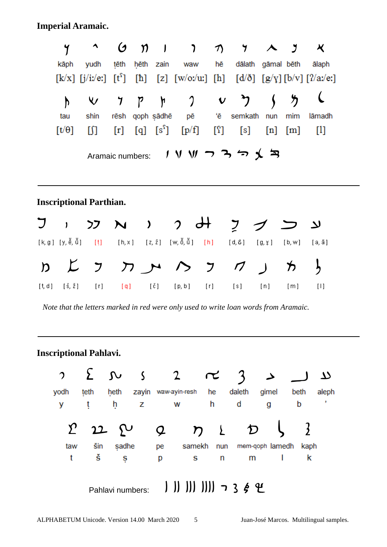**Imperial Aramaic.** 

|                                                               | y                 |                   | O)                    | $\mathfrak{D}$      | $\mathbf{I}$                                                    | $\mathcal{L}$                                | 丌              | $\mathcal{F}$              | 人             | $\overline{y}$     | $\boldsymbol{\mathsf{X}}$          |  |
|---------------------------------------------------------------|-------------------|-------------------|-----------------------|---------------------|-----------------------------------------------------------------|----------------------------------------------|----------------|----------------------------|---------------|--------------------|------------------------------------|--|
|                                                               | kāph              | yudh              | tēth                  | hēth                | zain                                                            | waw                                          | hē             | dālath gāmal bēth          |               |                    | ālaph                              |  |
|                                                               |                   | $[k/x]$ [j/i:/e:] | $[t^s]$               | [h]                 |                                                                 | [z] $[w/O:w]$ [h]                            |                |                            |               |                    | $[d/\delta]$ [g/y] [b/v] [?/a:/e:] |  |
|                                                               | $\mathsf{h}$      | $\checkmark$      | $\mathcal I$          | P                   | $\mathfrak h$                                                   | $\gamma$                                     | $\mathbf v$    |                            |               | $\bm{\mathcal{b}}$ |                                    |  |
|                                                               | tau               | shin              | rēsh                  |                     | qoph sādhē                                                      | pē                                           | 'ē             | semkath                    | nun           | mim                | lāmadh                             |  |
|                                                               | $[t/\theta]$      | []                | [r]                   | $\lbrack q \rbrack$ | $\left[\begin{smallmatrix} S^{\Gamma} \end{smallmatrix}\right]$ | [p/f]                                        | [2]            | [s]                        | [n]           | [m]                | $[1]$                              |  |
| ノリルココっく<br>Aramaic numbers:<br><b>Inscriptional Parthian.</b> |                   |                   |                       |                     |                                                                 |                                              |                |                            |               |                    |                                    |  |
|                                                               | $\mathbf{I}$      | <b>フフ</b>         | $\mathbf{\mathsf{N}}$ | $\lambda$           |                                                                 | $\mathcal{P}$                                |                | フ                          |               |                    | لا                                 |  |
|                                                               | [k, g ] [y, ĕ, ŭ] | [t]               | [h, x]                |                     |                                                                 | $[z, \check{z}] = [w, \check{0}, \check{u}]$ | [h]            | $[d, \delta]$              | $[g, \gamma]$ | [b, w]             | $[a, \tilde{a}]$                   |  |
| $\mathcal{D}$                                                 |                   | $\bigcup$         | $\pi$                 |                     |                                                                 | $\rightarrow$                                | $\overline{z}$ | $\boldsymbol{\mathcal{D}}$ |               | カ                  | $\frac{1}{2}$                      |  |
| [t, d]                                                        | $[\xi, \xi]$      | [r]               | $\lceil q \rceil$     |                     | [č]                                                             | [p, b]                                       | [r]            | [s]                        | [n]           | [m]                | $[1]$                              |  |

 *Note that the letters marked in red were only used to write loan words from Aramaic.* 

# **Inscriptional Pahlavi.**



ALPHABETUM Unicode. Version 14.00 March 2020